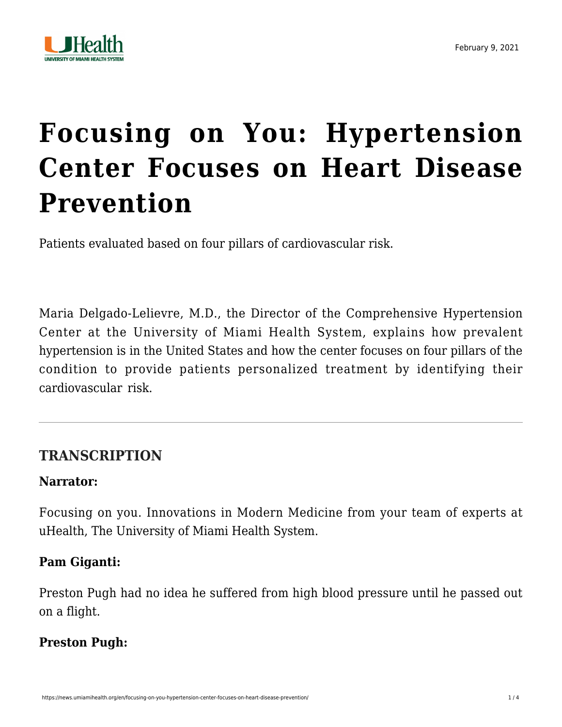

# **[Focusing on You: Hypertension](https://news.umiamihealth.org/en/focusing-on-you-hypertension-center-focuses-on-heart-disease-prevention/) [Center Focuses on Heart Disease](https://news.umiamihealth.org/en/focusing-on-you-hypertension-center-focuses-on-heart-disease-prevention/) [Prevention](https://news.umiamihealth.org/en/focusing-on-you-hypertension-center-focuses-on-heart-disease-prevention/)**

Patients evaluated based on four pillars of cardiovascular risk.

[Maria Delgado-Lelievre, M.D.](https://doctors.umiamihealth.org/provider/Maria+Carolina+Delgado-Lelievre/582574), the Director of the Comprehensive Hypertension Center at the University of Miami Health System, explains how prevalent hypertension is in the United States and how the center focuses on four pillars of the condition to provide patients personalized treatment by identifying their cardiovascular risk.

### **TRANSCRIPTION**

#### **Narrator:**

Focusing on you. Innovations in Modern Medicine from your team of experts at uHealth, The University of Miami Health System.

#### **Pam Giganti:**

Preston Pugh had no idea he suffered from high blood pressure until he passed out on a flight.

#### **Preston Pugh:**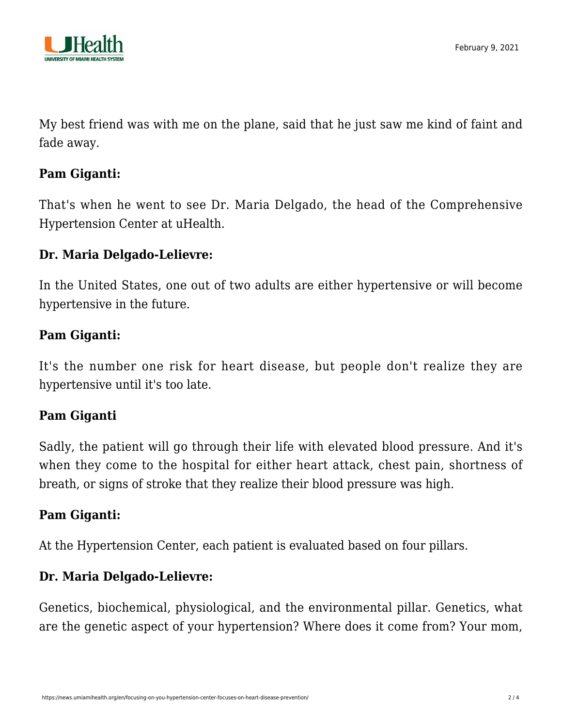

My best friend was with me on the plane, said that he just saw me kind of faint and fade away.

#### **Pam Giganti:**

That's when he went to see Dr. Maria Delgado, the head of the Comprehensive Hypertension Center at uHealth.

#### **Dr. Maria Delgado-Lelievre:**

In the United States, one out of two adults are either hypertensive or will become hypertensive in the future.

#### **Pam Giganti:**

It's the number one risk for heart disease, but people don't realize they are hypertensive until it's too late.

#### **Pam Giganti**

Sadly, the patient will go through their life with elevated blood pressure. And it's when they come to the hospital for either heart attack, chest pain, shortness of breath, or signs of stroke that they realize their blood pressure was high.

#### **Pam Giganti:**

At the Hypertension Center, each patient is evaluated based on four pillars.

#### **Dr. Maria Delgado-Lelievre:**

Genetics, biochemical, physiological, and the environmental pillar. Genetics, what are the genetic aspect of your hypertension? Where does it come from? Your mom,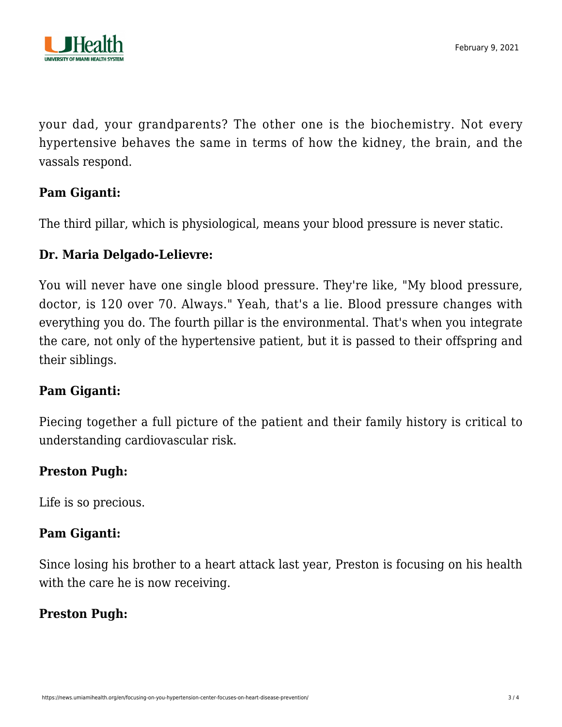

your dad, your grandparents? The other one is the biochemistry. Not every hypertensive behaves the same in terms of how the kidney, the brain, and the vassals respond.

#### **Pam Giganti:**

The third pillar, which is physiological, means your blood pressure is never static.

#### **Dr. Maria Delgado-Lelievre:**

You will never have one single blood pressure. They're like, "My blood pressure, doctor, is 120 over 70. Always." Yeah, that's a lie. Blood pressure changes with everything you do. The fourth pillar is the environmental. That's when you integrate the care, not only of the hypertensive patient, but it is passed to their offspring and their siblings.

#### **Pam Giganti:**

Piecing together a full picture of the patient and their family history is critical to understanding cardiovascular risk.

#### **Preston Pugh:**

Life is so precious.

#### **Pam Giganti:**

Since losing his brother to a heart attack last year, Preston is focusing on his health with the care he is now receiving.

#### **Preston Pugh:**